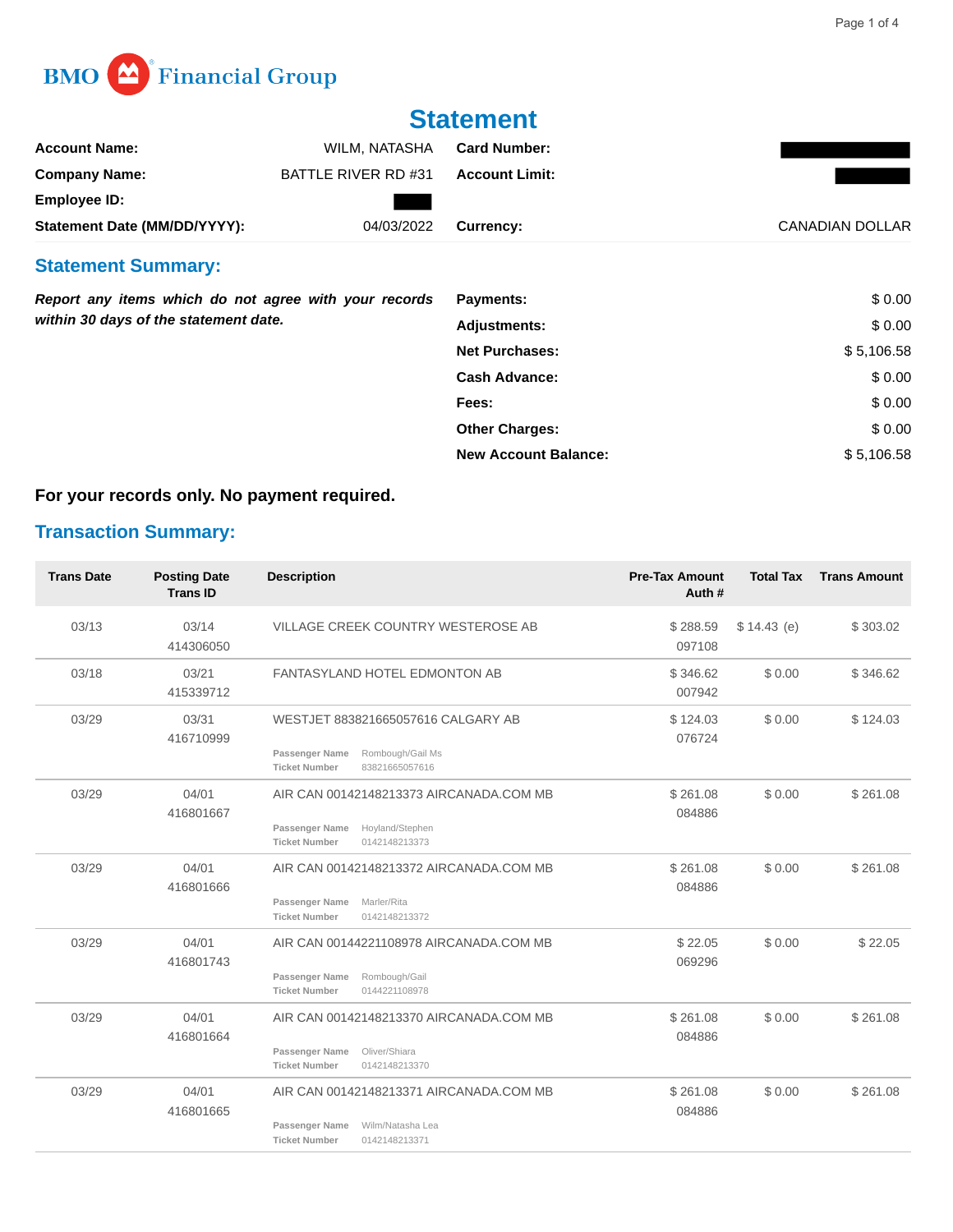

## **Statement**

| <b>Account Name:</b>                                                                           | WILM, NATASHA       | <b>Card Number:</b>         |                 |
|------------------------------------------------------------------------------------------------|---------------------|-----------------------------|-----------------|
| <b>Company Name:</b>                                                                           | BATTLE RIVER RD #31 | <b>Account Limit:</b>       |                 |
| <b>Employee ID:</b>                                                                            |                     |                             |                 |
| Statement Date (MM/DD/YYYY):                                                                   | 04/03/2022          | Currency:                   | CANADIAN DOLLAR |
| <b>Statement Summary:</b>                                                                      |                     |                             |                 |
| Report any items which do not agree with your records<br>within 30 days of the statement date. |                     | <b>Payments:</b>            | \$0.00          |
|                                                                                                |                     | <b>Adjustments:</b>         | \$0.00          |
|                                                                                                |                     | <b>Net Purchases:</b>       | \$5,106.58      |
|                                                                                                |                     | <b>Cash Advance:</b>        | \$0.00          |
|                                                                                                |                     | Fees:                       | \$0.00          |
|                                                                                                |                     | <b>Other Charges:</b>       | \$0.00          |
|                                                                                                |                     | <b>New Account Balance:</b> | \$5,106.58      |

## **For your records only. No payment required.**

## **Transaction Summary:**

| <b>Trans Date</b> | <b>Posting Date</b><br><b>Trans ID</b> | <b>Description</b>                                                                                                     | <b>Pre-Tax Amount</b><br>Auth# | <b>Total Tax</b> | <b>Trans Amount</b> |
|-------------------|----------------------------------------|------------------------------------------------------------------------------------------------------------------------|--------------------------------|------------------|---------------------|
| 03/13             | 03/14<br>414306050                     | VILLAGE CREEK COUNTRY WESTEROSE AB                                                                                     | \$288.59<br>097108             | \$14.43(e)       | \$303.02            |
| 03/18             | 03/21<br>415339712                     | <b>FANTASYLAND HOTEL EDMONTON AB</b>                                                                                   | \$346.62<br>007942             | \$0.00           | \$346.62            |
| 03/29             | 03/31<br>416710999                     | WESTJET 883821665057616 CALGARY AB<br>Passenger Name<br>Rombough/Gail Ms<br><b>Ticket Number</b><br>83821665057616     | \$124.03<br>076724             | \$0.00           | \$124.03            |
| 03/29             | 04/01<br>416801667                     | AIR CAN 00142148213373 AIRCANADA.COM MB<br>Passenger Name<br>Hoyland/Stephen<br><b>Ticket Number</b><br>0142148213373  | \$261.08<br>084886             | \$0.00           | \$261.08            |
| 03/29             | 04/01<br>416801666                     | AIR CAN 00142148213372 AIRCANADA.COM MB<br>Passenger Name<br>Marler/Rita<br><b>Ticket Number</b><br>0142148213372      | \$261.08<br>084886             | \$0.00           | \$261.08            |
| 03/29             | 04/01<br>416801743                     | AIR CAN 00144221108978 AIRCANADA.COM MB<br>Passenger Name<br>Rombough/Gail<br><b>Ticket Number</b><br>0144221108978    | \$22.05<br>069296              | \$0.00           | \$22.05             |
| 03/29             | 04/01<br>416801664                     | AIR CAN 00142148213370 AIRCANADA.COM MB<br>Passenger Name<br>Oliver/Shiara<br><b>Ticket Number</b><br>0142148213370    | \$261.08<br>084886             | \$0.00           | \$261.08            |
| 03/29             | 04/01<br>416801665                     | AIR CAN 00142148213371 AIRCANADA.COM MB<br>Passenger Name<br>Wilm/Natasha Lea<br><b>Ticket Number</b><br>0142148213371 | \$261.08<br>084886             | \$0.00           | \$261.08            |